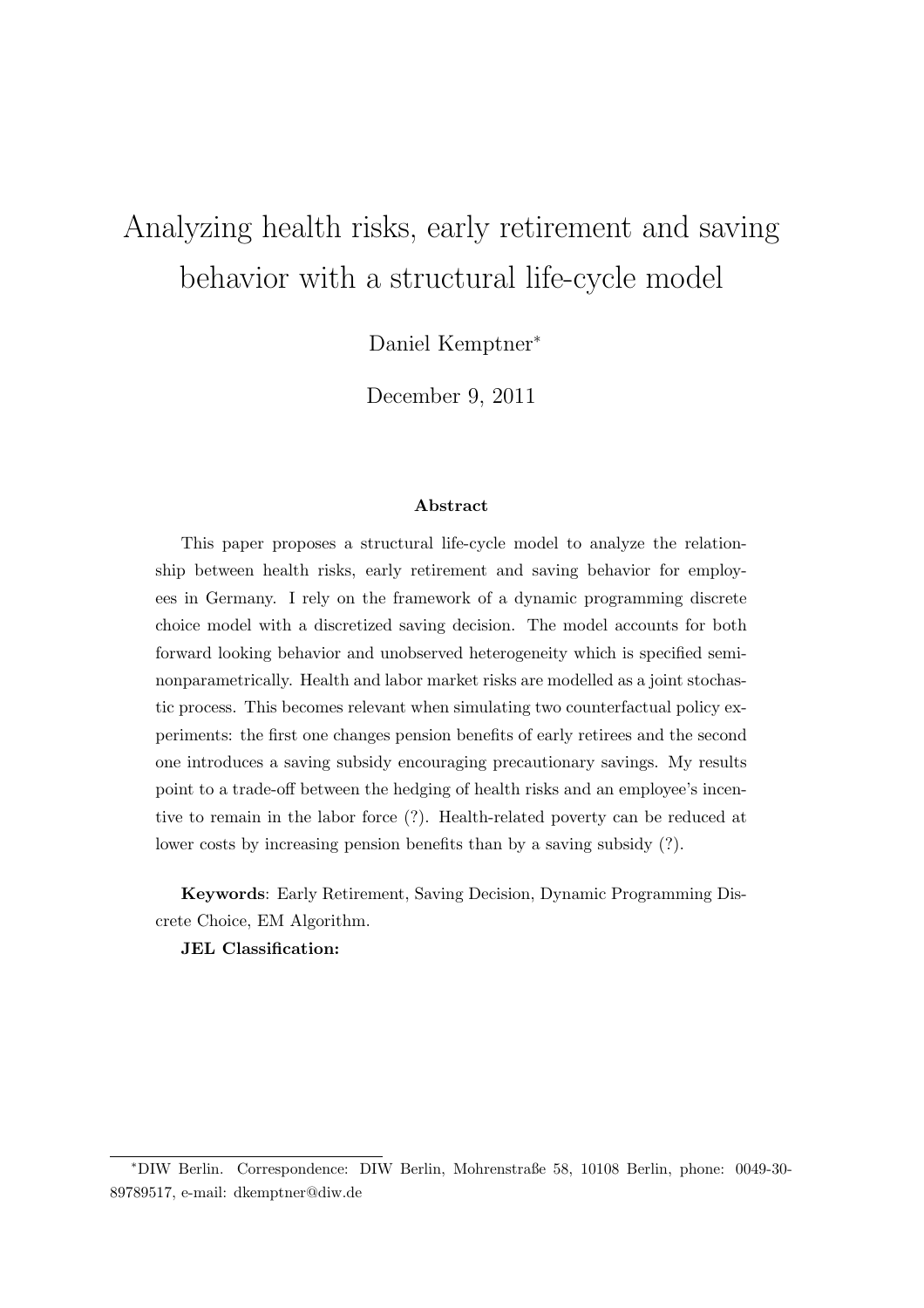# Analyzing health risks, early retirement and saving behavior with a structural life-cycle model

Daniel Kemptner<sup>∗</sup>

December 9, 2011

#### Abstract

This paper proposes a structural life-cycle model to analyze the relationship between health risks, early retirement and saving behavior for employees in Germany. I rely on the framework of a dynamic programming discrete choice model with a discretized saving decision. The model accounts for both forward looking behavior and unobserved heterogeneity which is specified seminonparametrically. Health and labor market risks are modelled as a joint stochastic process. This becomes relevant when simulating two counterfactual policy experiments: the first one changes pension benefits of early retirees and the second one introduces a saving subsidy encouraging precautionary savings. My results point to a trade-off between the hedging of health risks and an employee's incentive to remain in the labor force (?). Health-related poverty can be reduced at lower costs by increasing pension benefits than by a saving subsidy (?).

Keywords: Early Retirement, Saving Decision, Dynamic Programming Discrete Choice, EM Algorithm.

JEL Classification:

<sup>∗</sup>DIW Berlin. Correspondence: DIW Berlin, Mohrenstraße 58, 10108 Berlin, phone: 0049-30- 89789517, e-mail: dkemptner@diw.de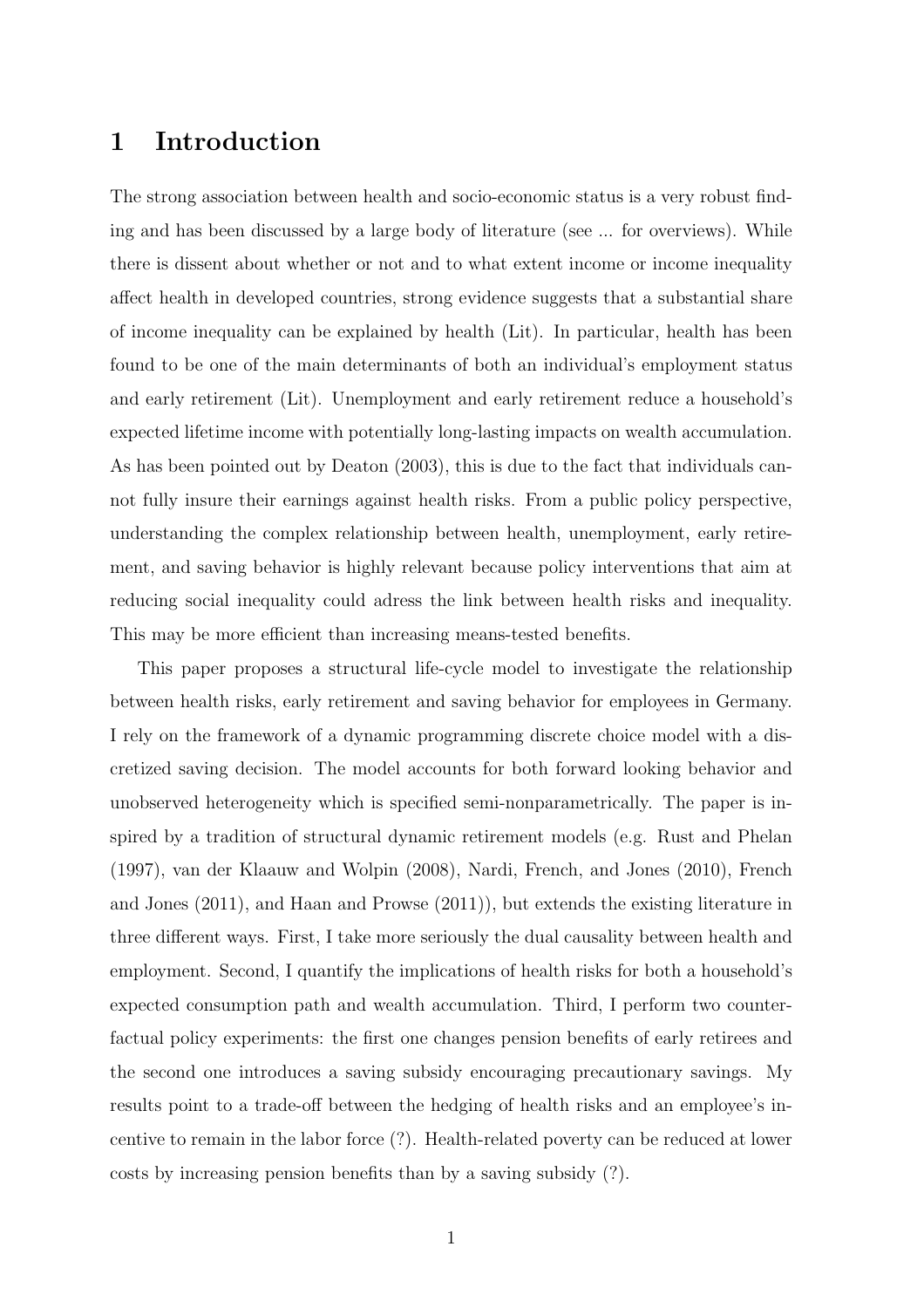### 1 Introduction

The strong association between health and socio-economic status is a very robust finding and has been discussed by a large body of literature (see ... for overviews). While there is dissent about whether or not and to what extent income or income inequality affect health in developed countries, strong evidence suggests that a substantial share of income inequality can be explained by health (Lit). In particular, health has been found to be one of the main determinants of both an individual's employment status and early retirement (Lit). Unemployment and early retirement reduce a household's expected lifetime income with potentially long-lasting impacts on wealth accumulation. As has been pointed out by Deaton (2003), this is due to the fact that individuals cannot fully insure their earnings against health risks. From a public policy perspective, understanding the complex relationship between health, unemployment, early retirement, and saving behavior is highly relevant because policy interventions that aim at reducing social inequality could adress the link between health risks and inequality. This may be more efficient than increasing means-tested benefits.

This paper proposes a structural life-cycle model to investigate the relationship between health risks, early retirement and saving behavior for employees in Germany. I rely on the framework of a dynamic programming discrete choice model with a discretized saving decision. The model accounts for both forward looking behavior and unobserved heterogeneity which is specified semi-nonparametrically. The paper is inspired by a tradition of structural dynamic retirement models (e.g. Rust and Phelan (1997), van der Klaauw and Wolpin (2008), Nardi, French, and Jones (2010), French and Jones (2011), and Haan and Prowse (2011)), but extends the existing literature in three different ways. First, I take more seriously the dual causality between health and employment. Second, I quantify the implications of health risks for both a household's expected consumption path and wealth accumulation. Third, I perform two counterfactual policy experiments: the first one changes pension benefits of early retirees and the second one introduces a saving subsidy encouraging precautionary savings. My results point to a trade-off between the hedging of health risks and an employee's incentive to remain in the labor force (?). Health-related poverty can be reduced at lower costs by increasing pension benefits than by a saving subsidy (?).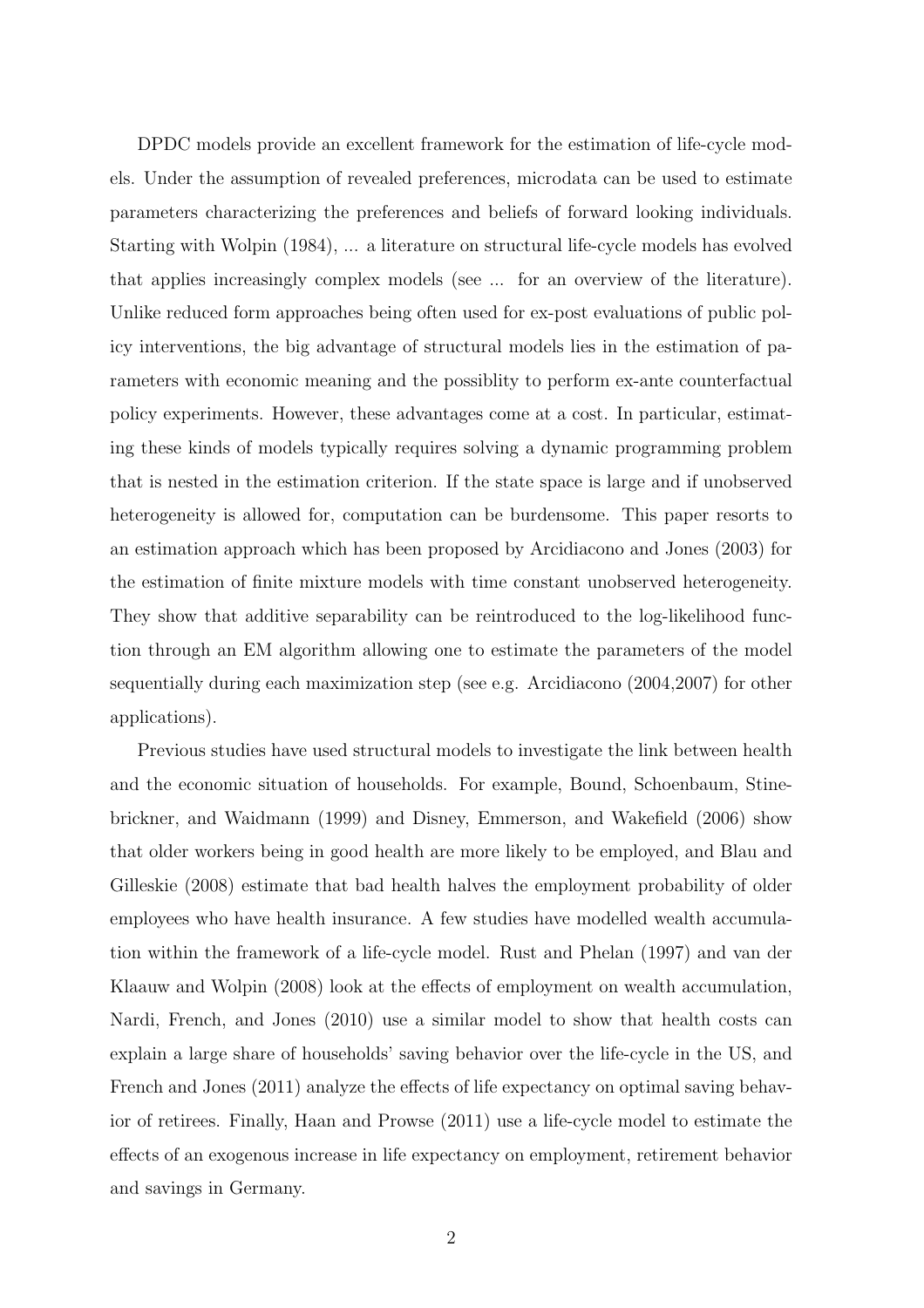DPDC models provide an excellent framework for the estimation of life-cycle models. Under the assumption of revealed preferences, microdata can be used to estimate parameters characterizing the preferences and beliefs of forward looking individuals. Starting with Wolpin (1984), ... a literature on structural life-cycle models has evolved that applies increasingly complex models (see ... for an overview of the literature). Unlike reduced form approaches being often used for ex-post evaluations of public policy interventions, the big advantage of structural models lies in the estimation of parameters with economic meaning and the possiblity to perform ex-ante counterfactual policy experiments. However, these advantages come at a cost. In particular, estimating these kinds of models typically requires solving a dynamic programming problem that is nested in the estimation criterion. If the state space is large and if unobserved heterogeneity is allowed for, computation can be burdensome. This paper resorts to an estimation approach which has been proposed by Arcidiacono and Jones (2003) for the estimation of finite mixture models with time constant unobserved heterogeneity. They show that additive separability can be reintroduced to the log-likelihood function through an EM algorithm allowing one to estimate the parameters of the model sequentially during each maximization step (see e.g. Arcidiacono (2004,2007) for other applications).

Previous studies have used structural models to investigate the link between health and the economic situation of households. For example, Bound, Schoenbaum, Stinebrickner, and Waidmann (1999) and Disney, Emmerson, and Wakefield (2006) show that older workers being in good health are more likely to be employed, and Blau and Gilleskie (2008) estimate that bad health halves the employment probability of older employees who have health insurance. A few studies have modelled wealth accumulation within the framework of a life-cycle model. Rust and Phelan (1997) and van der Klaauw and Wolpin (2008) look at the effects of employment on wealth accumulation, Nardi, French, and Jones (2010) use a similar model to show that health costs can explain a large share of households' saving behavior over the life-cycle in the US, and French and Jones (2011) analyze the effects of life expectancy on optimal saving behavior of retirees. Finally, Haan and Prowse (2011) use a life-cycle model to estimate the effects of an exogenous increase in life expectancy on employment, retirement behavior and savings in Germany.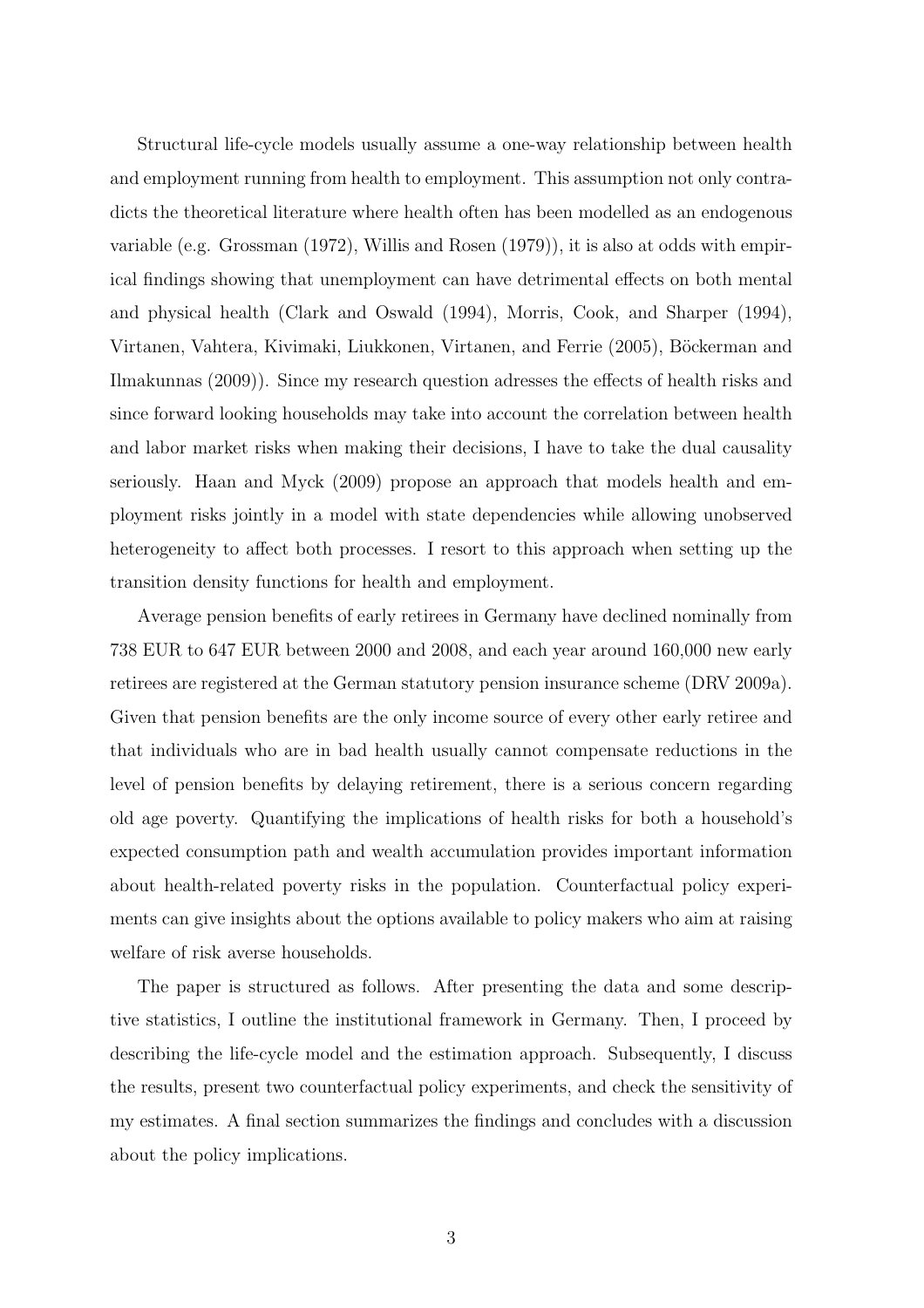Structural life-cycle models usually assume a one-way relationship between health and employment running from health to employment. This assumption not only contradicts the theoretical literature where health often has been modelled as an endogenous variable (e.g. Grossman (1972), Willis and Rosen (1979)), it is also at odds with empirical findings showing that unemployment can have detrimental effects on both mental and physical health (Clark and Oswald (1994), Morris, Cook, and Sharper (1994), Virtanen, Vahtera, Kivimaki, Liukkonen, Virtanen, and Ferrie (2005), Böckerman and Ilmakunnas (2009)). Since my research question adresses the effects of health risks and since forward looking households may take into account the correlation between health and labor market risks when making their decisions, I have to take the dual causality seriously. Haan and Myck (2009) propose an approach that models health and employment risks jointly in a model with state dependencies while allowing unobserved heterogeneity to affect both processes. I resort to this approach when setting up the transition density functions for health and employment.

Average pension benefits of early retirees in Germany have declined nominally from 738 EUR to 647 EUR between 2000 and 2008, and each year around 160,000 new early retirees are registered at the German statutory pension insurance scheme (DRV 2009a). Given that pension benefits are the only income source of every other early retiree and that individuals who are in bad health usually cannot compensate reductions in the level of pension benefits by delaying retirement, there is a serious concern regarding old age poverty. Quantifying the implications of health risks for both a household's expected consumption path and wealth accumulation provides important information about health-related poverty risks in the population. Counterfactual policy experiments can give insights about the options available to policy makers who aim at raising welfare of risk averse households.

The paper is structured as follows. After presenting the data and some descriptive statistics, I outline the institutional framework in Germany. Then, I proceed by describing the life-cycle model and the estimation approach. Subsequently, I discuss the results, present two counterfactual policy experiments, and check the sensitivity of my estimates. A final section summarizes the findings and concludes with a discussion about the policy implications.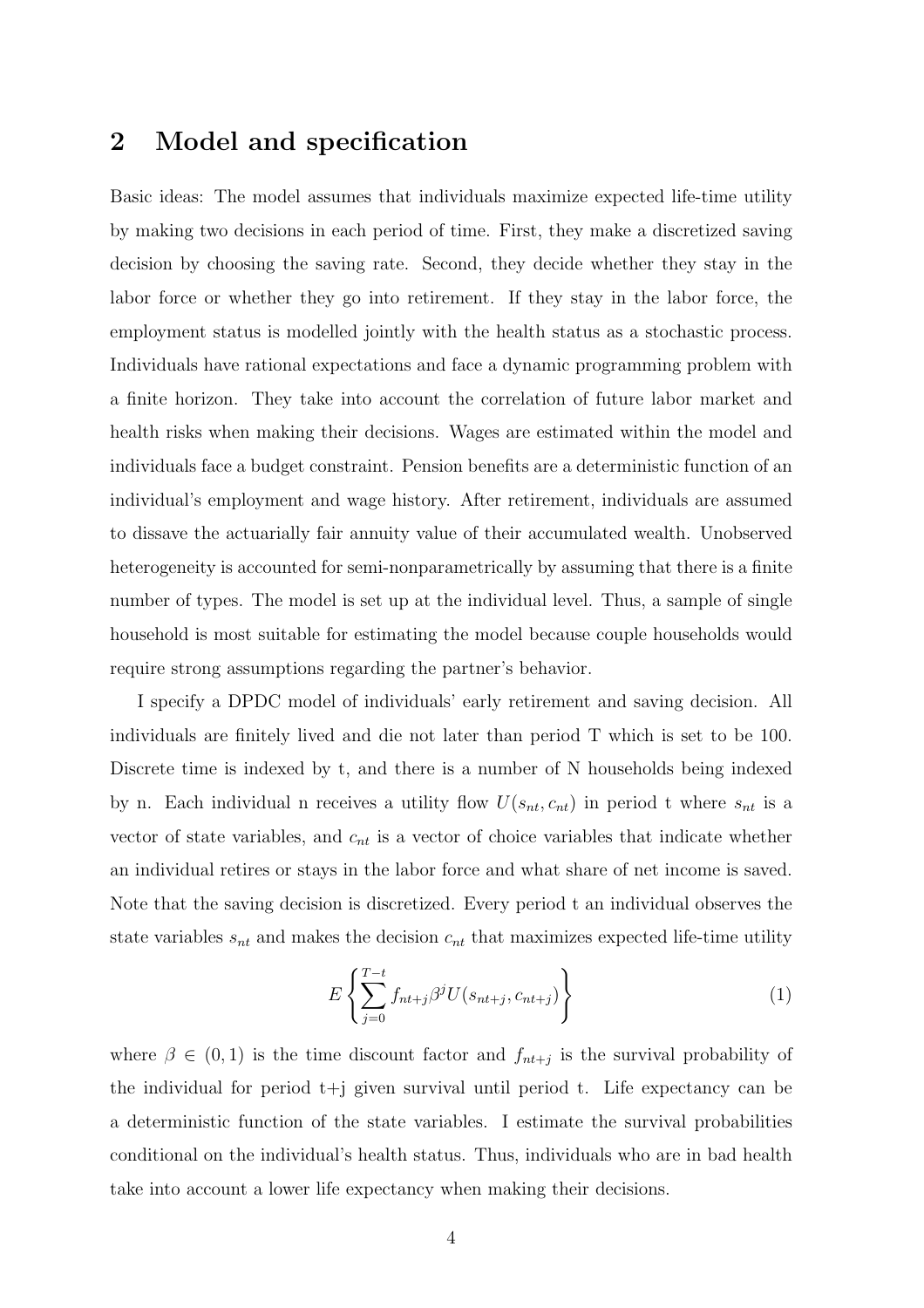## 2 Model and specification

Basic ideas: The model assumes that individuals maximize expected life-time utility by making two decisions in each period of time. First, they make a discretized saving decision by choosing the saving rate. Second, they decide whether they stay in the labor force or whether they go into retirement. If they stay in the labor force, the employment status is modelled jointly with the health status as a stochastic process. Individuals have rational expectations and face a dynamic programming problem with a finite horizon. They take into account the correlation of future labor market and health risks when making their decisions. Wages are estimated within the model and individuals face a budget constraint. Pension benefits are a deterministic function of an individual's employment and wage history. After retirement, individuals are assumed to dissave the actuarially fair annuity value of their accumulated wealth. Unobserved heterogeneity is accounted for semi-nonparametrically by assuming that there is a finite number of types. The model is set up at the individual level. Thus, a sample of single household is most suitable for estimating the model because couple households would require strong assumptions regarding the partner's behavior.

I specify a DPDC model of individuals' early retirement and saving decision. All individuals are finitely lived and die not later than period T which is set to be 100. Discrete time is indexed by t, and there is a number of N households being indexed by n. Each individual n receives a utility flow  $U(s_{nt}, c_{nt})$  in period t where  $s_{nt}$  is a vector of state variables, and  $c_{nt}$  is a vector of choice variables that indicate whether an individual retires or stays in the labor force and what share of net income is saved. Note that the saving decision is discretized. Every period t an individual observes the state variables  $s_{nt}$  and makes the decision  $c_{nt}$  that maximizes expected life-time utility

$$
E\left\{\sum_{j=0}^{T-t} f_{nt+j} \beta^j U(s_{nt+j}, c_{nt+j})\right\} \tag{1}
$$

where  $\beta \in (0,1)$  is the time discount factor and  $f_{nt+j}$  is the survival probability of the individual for period  $t+j$  given survival until period t. Life expectancy can be a deterministic function of the state variables. I estimate the survival probabilities conditional on the individual's health status. Thus, individuals who are in bad health take into account a lower life expectancy when making their decisions.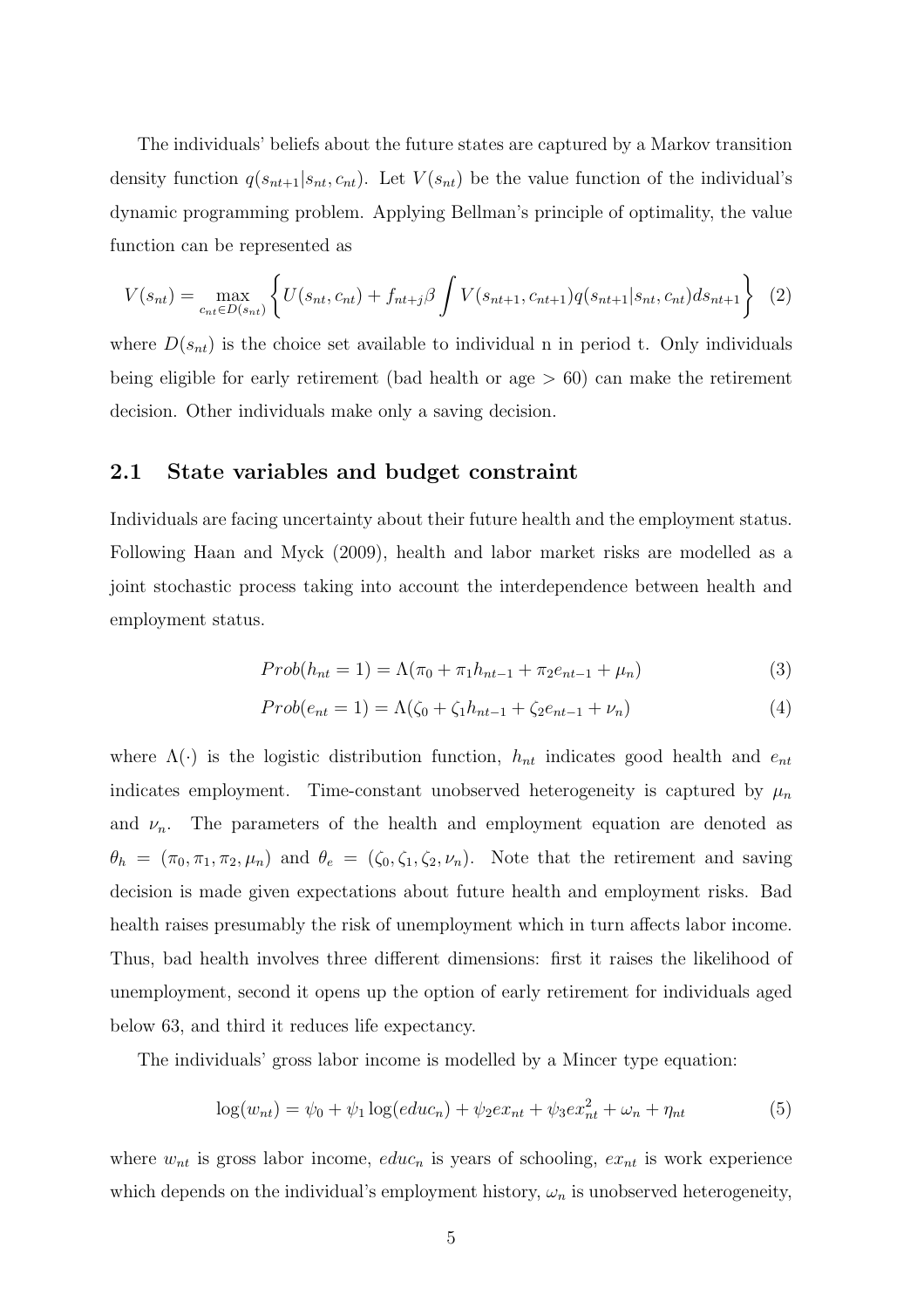The individuals' beliefs about the future states are captured by a Markov transition density function  $q(s_{nt+1}|s_{nt},c_{nt})$ . Let  $V(s_{nt})$  be the value function of the individual's dynamic programming problem. Applying Bellman's principle of optimality, the value function can be represented as

$$
V(s_{nt}) = \max_{c_{nt} \in D(s_{nt})} \left\{ U(s_{nt}, c_{nt}) + f_{nt+j} \beta \int V(s_{nt+1}, c_{nt+1}) q(s_{nt+1}|s_{nt}, c_{nt}) ds_{nt+1} \right\} \tag{2}
$$

where  $D(s_{nt})$  is the choice set available to individual n in period t. Only individuals being eligible for early retirement (bad health or age > 60) can make the retirement decision. Other individuals make only a saving decision.

#### 2.1 State variables and budget constraint

Individuals are facing uncertainty about their future health and the employment status. Following Haan and Myck (2009), health and labor market risks are modelled as a joint stochastic process taking into account the interdependence between health and employment status.

$$
Prob(h_{nt} = 1) = \Lambda(\pi_0 + \pi_1 h_{nt-1} + \pi_2 e_{nt-1} + \mu_n)
$$
\n(3)

$$
Prob(e_{nt} = 1) = \Lambda(\zeta_0 + \zeta_1 h_{nt-1} + \zeta_2 e_{nt-1} + \nu_n)
$$
\n(4)

where  $\Lambda(\cdot)$  is the logistic distribution function,  $h_{nt}$  indicates good health and  $e_{nt}$ indicates employment. Time-constant unobserved heterogeneity is captured by  $\mu_n$ and  $\nu_n$ . The parameters of the health and employment equation are denoted as  $\theta_h = (\pi_0, \pi_1, \pi_2, \mu_n)$  and  $\theta_e = (\zeta_0, \zeta_1, \zeta_2, \nu_n)$ . Note that the retirement and saving decision is made given expectations about future health and employment risks. Bad health raises presumably the risk of unemployment which in turn affects labor income. Thus, bad health involves three different dimensions: first it raises the likelihood of unemployment, second it opens up the option of early retirement for individuals aged below 63, and third it reduces life expectancy.

The individuals' gross labor income is modelled by a Mincer type equation:

$$
\log(w_{nt}) = \psi_0 + \psi_1 \log(educ_n) + \psi_2 ex_{nt} + \psi_3 ex_{nt}^2 + \omega_n + \eta_{nt}
$$
(5)

where  $w_{nt}$  is gross labor income,  $educ_n$  is years of schooling,  $ex_{nt}$  is work experience which depends on the individual's employment history,  $\omega_n$  is unobserved heterogeneity,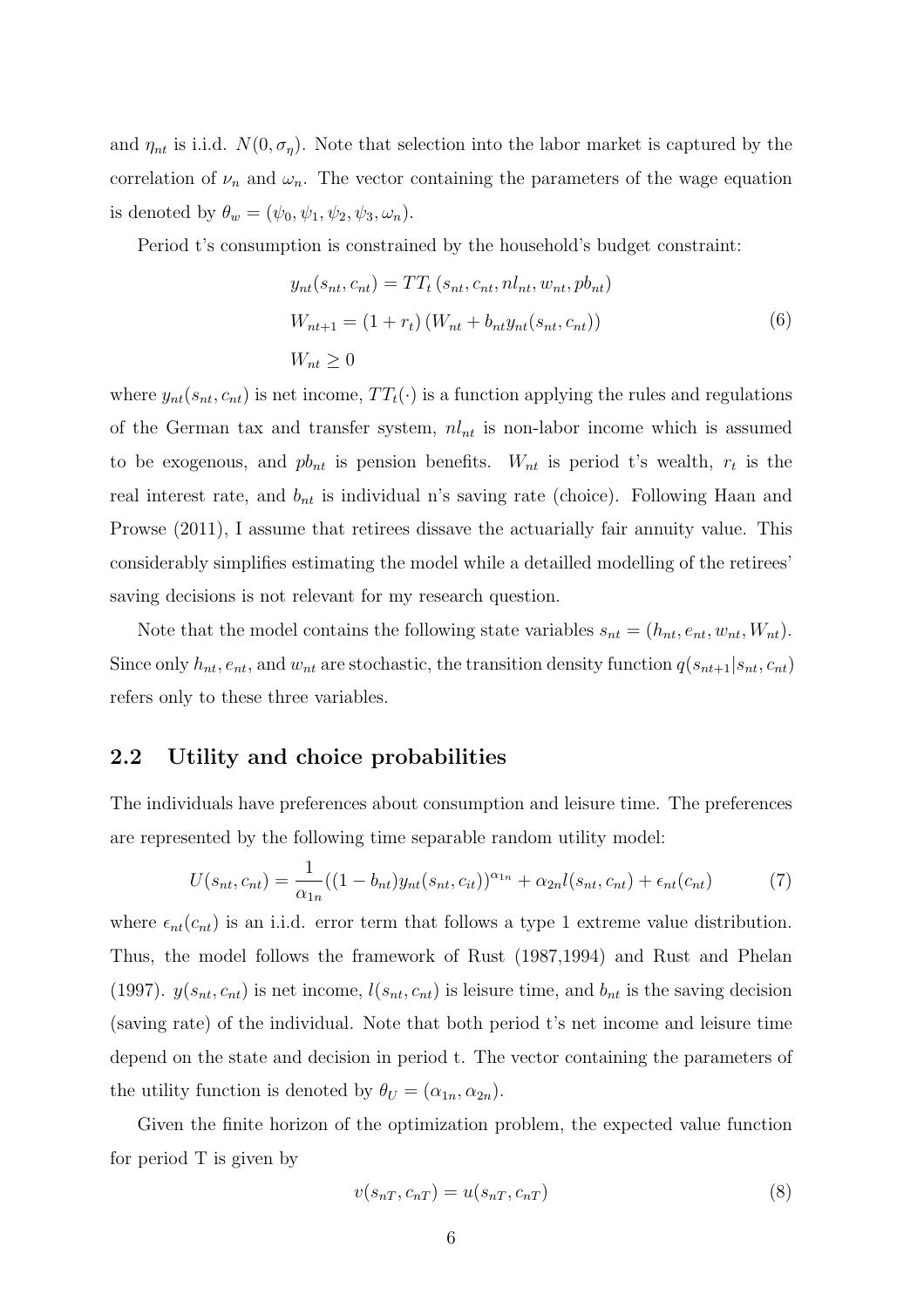and  $\eta_{nt}$  is i.i.d.  $N(0, \sigma_{\eta})$ . Note that selection into the labor market is captured by the correlation of  $\nu_n$  and  $\omega_n$ . The vector containing the parameters of the wage equation is denoted by  $\theta_w = (\psi_0, \psi_1, \psi_2, \psi_3, \omega_n)$ .

Period t's consumption is constrained by the household's budget constraint:

$$
y_{nt}(s_{nt}, c_{nt}) = TT_t (s_{nt}, c_{nt}, n l_{nt}, w_{nt}, p b_{nt})
$$
  
\n
$$
W_{nt+1} = (1 + r_t) (W_{nt} + b_{nt} y_{nt}(s_{nt}, c_{nt}))
$$
  
\n
$$
W_{nt} \ge 0
$$
\n(6)

where  $y_{nt}(s_{nt}, c_{nt})$  is net income,  $TT_t(\cdot)$  is a function applying the rules and regulations of the German tax and transfer system,  $nl_{nt}$  is non-labor income which is assumed to be exogenous, and  $pb_{nt}$  is pension benefits.  $W_{nt}$  is period t's wealth,  $r_t$  is the real interest rate, and  $b_{nt}$  is individual n's saving rate (choice). Following Haan and Prowse (2011), I assume that retirees dissave the actuarially fair annuity value. This considerably simplifies estimating the model while a detailled modelling of the retirees' saving decisions is not relevant for my research question.

Note that the model contains the following state variables  $s_{nt} = (h_{nt}, e_{nt}, w_{nt}, W_{nt})$ . Since only  $h_{nt}$ ,  $e_{nt}$ , and  $w_{nt}$  are stochastic, the transition density function  $q(s_{nt+1}|s_{nt},c_{nt})$ refers only to these three variables.

#### 2.2 Utility and choice probabilities

The individuals have preferences about consumption and leisure time. The preferences are represented by the following time separable random utility model:

$$
U(s_{nt}, c_{nt}) = \frac{1}{\alpha_{1n}} ((1 - b_{nt}) y_{nt}(s_{nt}, c_{it}))^{\alpha_{1n}} + \alpha_{2n} l(s_{nt}, c_{nt}) + \epsilon_{nt}(c_{nt})
$$
(7)

where  $\epsilon_{nt}(c_{nt})$  is an i.i.d. error term that follows a type 1 extreme value distribution. Thus, the model follows the framework of Rust (1987,1994) and Rust and Phelan (1997).  $y(s_{nt}, c_{nt})$  is net income,  $l(s_{nt}, c_{nt})$  is leisure time, and  $b_{nt}$  is the saving decision (saving rate) of the individual. Note that both period t's net income and leisure time depend on the state and decision in period t. The vector containing the parameters of the utility function is denoted by  $\theta_U = (\alpha_{1n}, \alpha_{2n}).$ 

Given the finite horizon of the optimization problem, the expected value function for period T is given by

$$
v(s_{nT}, c_{nT}) = u(s_{nT}, c_{nT})
$$
\n
$$
(8)
$$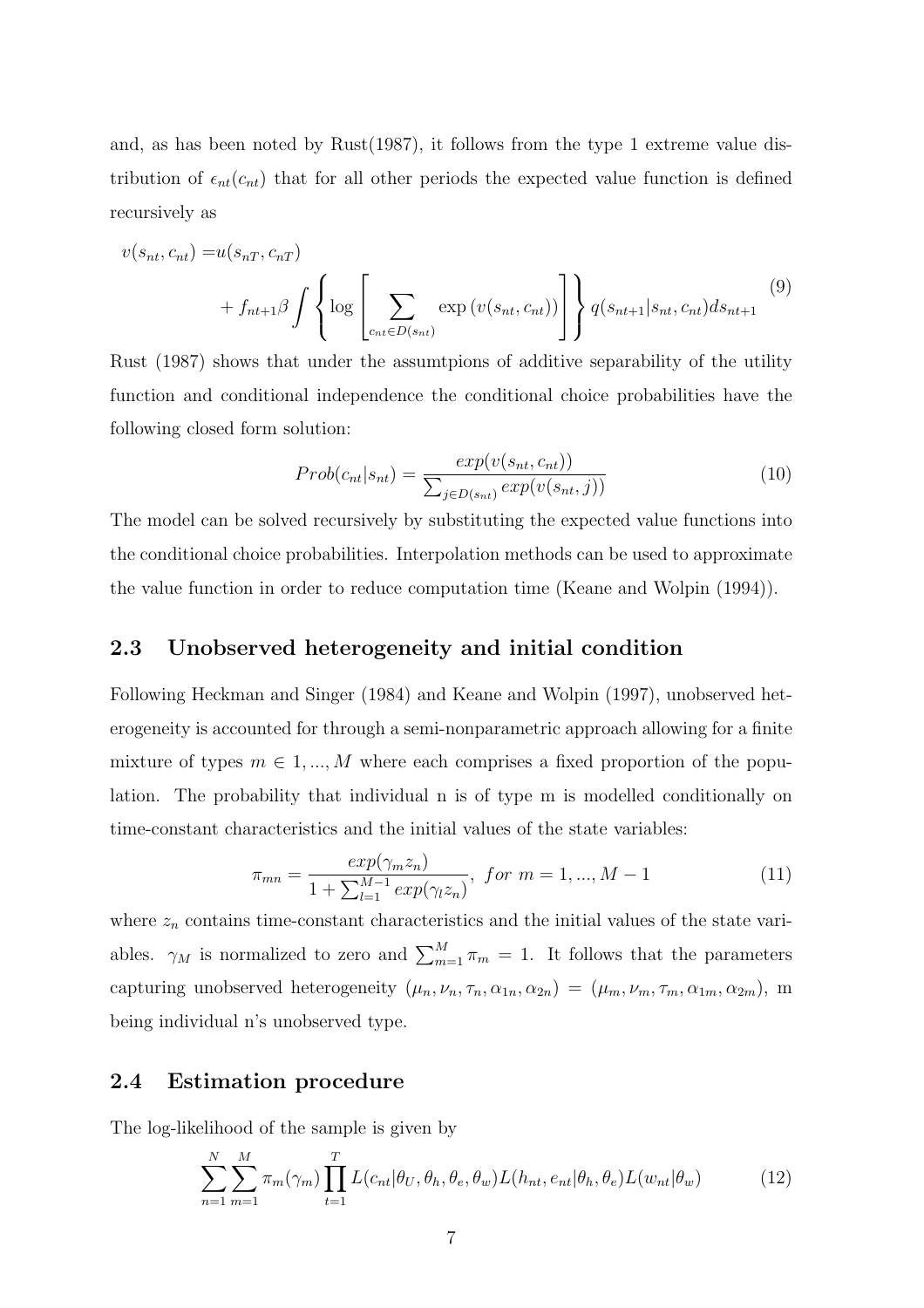and, as has been noted by Rust(1987), it follows from the type 1 extreme value distribution of  $\epsilon_{nt}(c_{nt})$  that for all other periods the expected value function is defined recursively as

$$
v(s_{nt}, c_{nt}) = u(s_{nT}, c_{nT}) + f_{nt+1}\beta \int \left\{ \log \left[ \sum_{c_{nt} \in D(s_{nt})} \exp(v(s_{nt}, c_{nt})) \right] \right\} q(s_{nt+1}|s_{nt}, c_{nt}) ds_{nt+1}
$$
\n(9)

Rust (1987) shows that under the assumtpions of additive separability of the utility function and conditional independence the conditional choice probabilities have the following closed form solution:

$$
Prob(c_{nt}|s_{nt}) = \frac{exp(v(s_{nt}, c_{nt}))}{\sum_{j \in D(s_{nt})} exp(v(s_{nt}, j))}
$$
(10)

The model can be solved recursively by substituting the expected value functions into the conditional choice probabilities. Interpolation methods can be used to approximate the value function in order to reduce computation time (Keane and Wolpin (1994)).

#### 2.3 Unobserved heterogeneity and initial condition

Following Heckman and Singer (1984) and Keane and Wolpin (1997), unobserved heterogeneity is accounted for through a semi-nonparametric approach allowing for a finite mixture of types  $m \in 1, ..., M$  where each comprises a fixed proportion of the population. The probability that individual n is of type m is modelled conditionally on time-constant characteristics and the initial values of the state variables:

$$
\pi_{mn} = \frac{exp(\gamma_m z_n)}{1 + \sum_{l=1}^{M-1} exp(\gamma_l z_n)}, \text{ for } m = 1, ..., M-1
$$
\n(11)

where  $z_n$  contains time-constant characteristics and the initial values of the state variables.  $\gamma_M$  is normalized to zero and  $\sum_{m=1}^M \pi_m = 1$ . It follows that the parameters capturing unobserved heterogeneity  $(\mu_n, \nu_n, \tau_n, \alpha_{1n}, \alpha_{2n}) = (\mu_m, \nu_m, \tau_m, \alpha_{1m}, \alpha_{2m}),$  m being individual n's unobserved type.

#### 2.4 Estimation procedure

The log-likelihood of the sample is given by

<span id="page-7-0"></span>
$$
\sum_{n=1}^{N} \sum_{m=1}^{M} \pi_m(\gamma_m) \prod_{t=1}^{T} L(c_{nt} | \theta_U, \theta_h, \theta_e, \theta_w) L(h_{nt}, e_{nt} | \theta_h, \theta_e) L(w_{nt} | \theta_w)
$$
(12)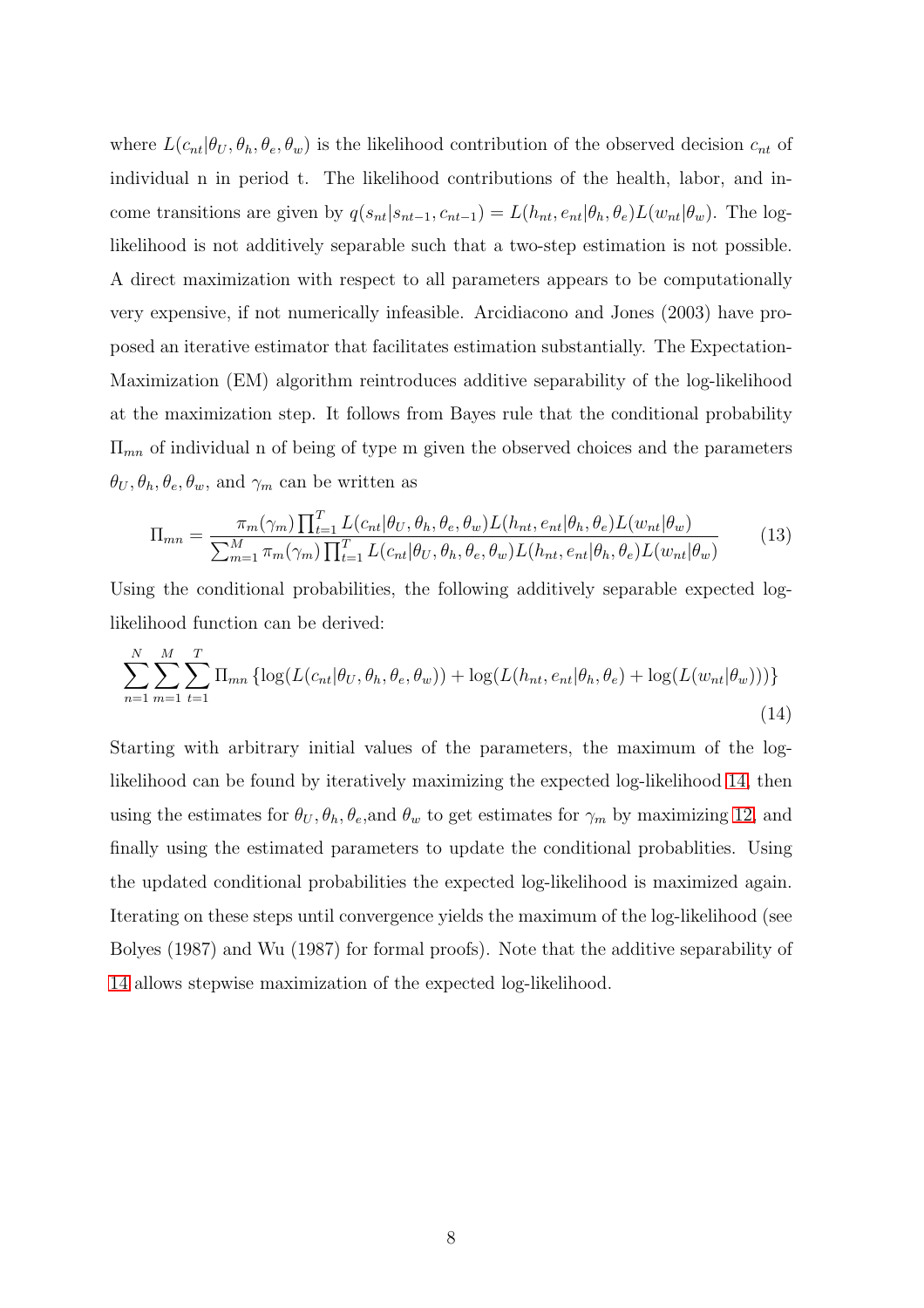where  $L(c_{nt}|\theta_U, \theta_h, \theta_e, \theta_w)$  is the likelihood contribution of the observed decision  $c_{nt}$  of individual n in period t. The likelihood contributions of the health, labor, and income transitions are given by  $q(s_{nt}|s_{nt-1},c_{nt-1}) = L(h_{nt},e_{nt}|\theta_h,\theta_e)L(w_{nt}|\theta_w)$ . The loglikelihood is not additively separable such that a two-step estimation is not possible. A direct maximization with respect to all parameters appears to be computationally very expensive, if not numerically infeasible. Arcidiacono and Jones (2003) have proposed an iterative estimator that facilitates estimation substantially. The Expectation-Maximization (EM) algorithm reintroduces additive separability of the log-likelihood at the maximization step. It follows from Bayes rule that the conditional probability  $\Pi_{mn}$  of individual n of being of type m given the observed choices and the parameters  $\theta_U, \theta_h, \theta_e, \theta_w$ , and  $\gamma_m$  can be written as

<span id="page-8-0"></span>
$$
\Pi_{mn} = \frac{\pi_m(\gamma_m) \prod_{t=1}^T L(c_{nt}|\theta_U, \theta_h, \theta_e, \theta_w) L(h_{nt}, e_{nt}|\theta_h, \theta_e) L(w_{nt}|\theta_w)}{\sum_{m=1}^M \pi_m(\gamma_m) \prod_{t=1}^T L(c_{nt}|\theta_U, \theta_h, \theta_e, \theta_w) L(h_{nt}, e_{nt}|\theta_h, \theta_e) L(w_{nt}|\theta_w)}
$$
(13)

Using the conditional probabilities, the following additively separable expected loglikelihood function can be derived:

$$
\sum_{n=1}^{N} \sum_{m=1}^{M} \sum_{t=1}^{T} \Pi_{mn} \left\{ \log(L(c_{nt}|\theta_U, \theta_h, \theta_e, \theta_w)) + \log(L(h_{nt}, e_{nt}|\theta_h, \theta_e) + \log(L(w_{nt}|\theta_w))) \right\} \tag{14}
$$

Starting with arbitrary initial values of the parameters, the maximum of the loglikelihood can be found by iteratively maximizing the expected log-likelihood [14,](#page-8-0) then using the estimates for  $\theta_U, \theta_h, \theta_e$ , and  $\theta_w$  to get estimates for  $\gamma_m$  by maximizing [12,](#page-7-0) and finally using the estimated parameters to update the conditional probablities. Using the updated conditional probabilities the expected log-likelihood is maximized again. Iterating on these steps until convergence yields the maximum of the log-likelihood (see Bolyes (1987) and Wu (1987) for formal proofs). Note that the additive separability of [14](#page-8-0) allows stepwise maximization of the expected log-likelihood.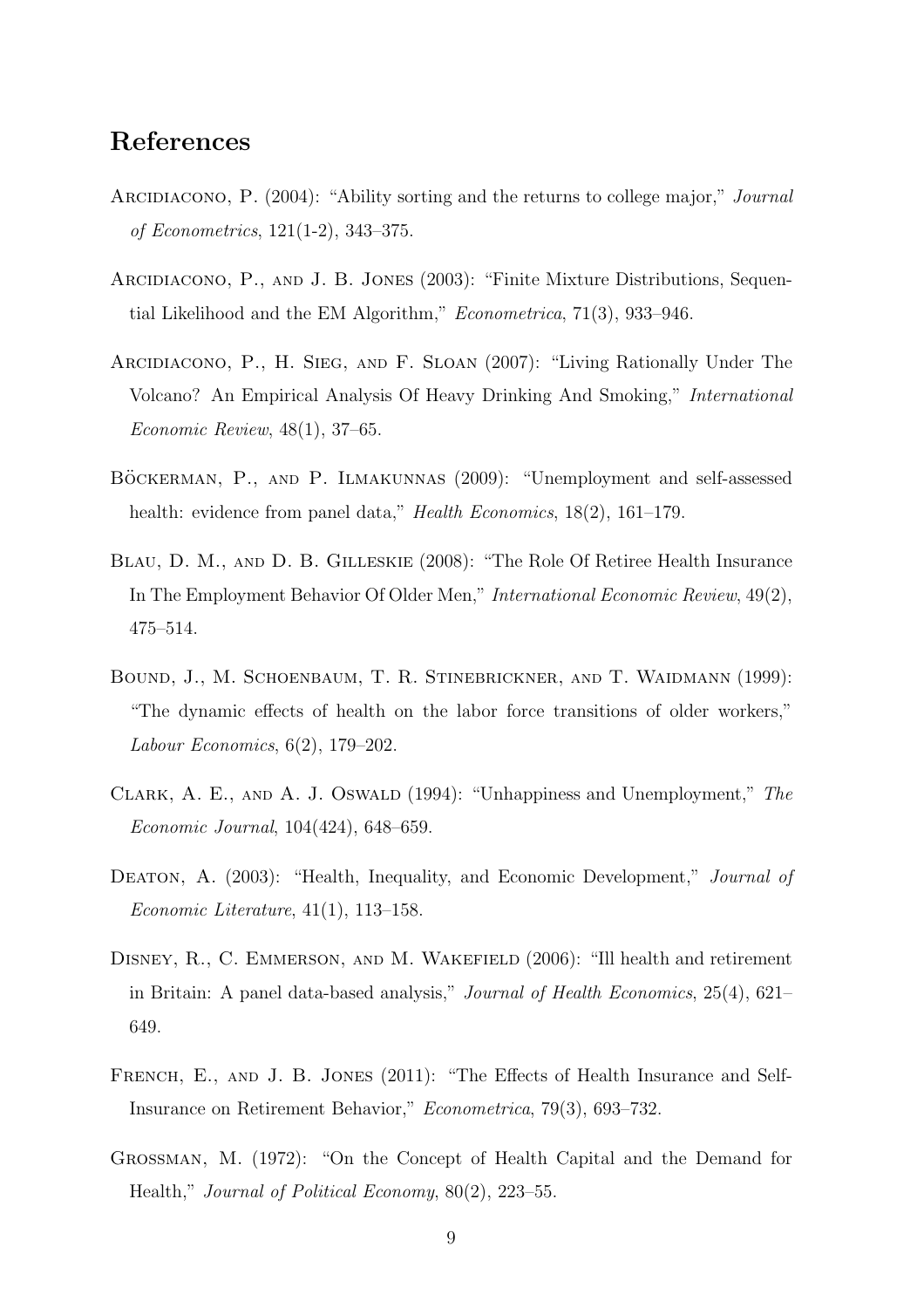## References

- ARCIDIACONO, P. (2004): "Ability sorting and the returns to college major," *Journal* of Econometrics, 121(1-2), 343–375.
- Arcidiacono, P., and J. B. Jones (2003): "Finite Mixture Distributions, Sequential Likelihood and the EM Algorithm," Econometrica, 71(3), 933-946.
- Arcidiacono, P., H. Sieg, and F. Sloan (2007): "Living Rationally Under The Volcano? An Empirical Analysis Of Heavy Drinking And Smoking," International Economic Review, 48(1), 37–65.
- BÖCKERMAN, P., AND P. ILMAKUNNAS (2009): "Unemployment and self-assessed health: evidence from panel data," *Health Economics*, 18(2), 161–179.
- Blau, D. M., and D. B. Gilleskie (2008): "The Role Of Retiree Health Insurance In The Employment Behavior Of Older Men," International Economic Review, 49(2), 475–514.
- BOUND, J., M. SCHOENBAUM, T. R. STINEBRICKNER, AND T. WAIDMANN (1999): "The dynamic effects of health on the labor force transitions of older workers," Labour Economics, 6(2), 179–202.
- CLARK, A. E., AND A. J. OSWALD (1994): "Unhappiness and Unemployment," The Economic Journal, 104(424), 648–659.
- DEATON, A. (2003): "Health, Inequality, and Economic Development," Journal of Economic Literature,  $41(1)$ ,  $113-158$ .
- DISNEY, R., C. EMMERSON, AND M. WAKEFIELD (2006): "Ill health and retirement in Britain: A panel data-based analysis," Journal of Health Economics, 25(4), 621– 649.
- FRENCH, E., AND J. B. JONES (2011): "The Effects of Health Insurance and Self-Insurance on Retirement Behavior," Econometrica, 79(3), 693–732.
- Grossman, M. (1972): "On the Concept of Health Capital and the Demand for Health," Journal of Political Economy, 80(2), 223–55.